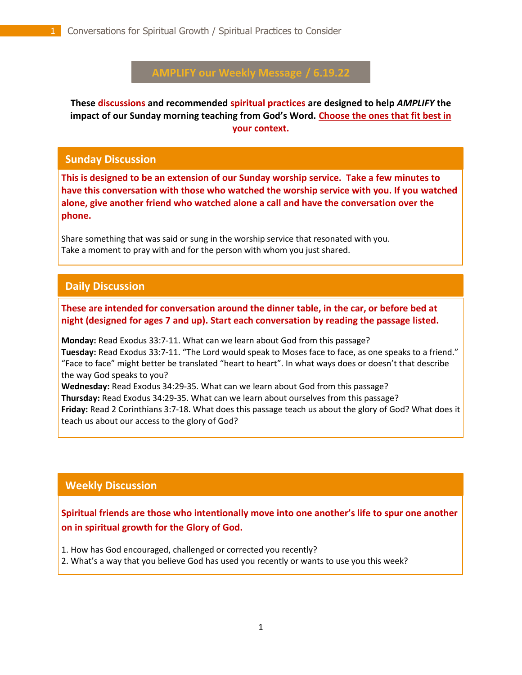# **AMPLIFY our Weekly Message / 6.19.22**

**These discussions and recommended spiritual practices are designed to help** *AMPLIFY* **the impact of our Sunday morning teaching from God's Word. Choose the ones that fit best in your context.**

#### **Sunday Discussion**

**This is designed to be an extension of our Sunday worship service. Take a few minutes to have this conversation with those who watched the worship service with you. If you watched alone, give another friend who watched alone a call and have the conversation over the phone.**

Share something that was said or sung in the worship service that resonated with you. Take a moment to pray with and for the person with whom you just shared.

## **Daily Discussion**

. **These are intended for conversation around the dinner table, in the car, or before bed at night (designed for ages 7 and up). Start each conversation by reading the passage listed.**

**Monday:** Read Exodus 33:7-11. What can we learn about God from this passage? **Tuesday:** Read Exodus 33:7-11. "The Lord would speak to Moses face to face, as one speaks to a friend." "Face to face" might better be translated "heart to heart". In what ways does or doesn't that describe the way God speaks to you? **Wednesday:** Read Exodus 34:29-35. What can we learn about God from this passage?

**Thursday:** Read Exodus 34:29-35. What can we learn about ourselves from this passage?

**Friday:** Read 2 Corinthians 3:7-18. What does this passage teach us about the glory of God? What does it teach us about our access to the glory of God?

#### **Weekly Discussion**

**Spiritual friends are those who intentionally move into one another's life to spur one another on in spiritual growth for the Glory of God.** 

1. How has God encouraged, challenged or corrected you recently?

2. What's a way that you believe God has used you recently or wants to use you this week?